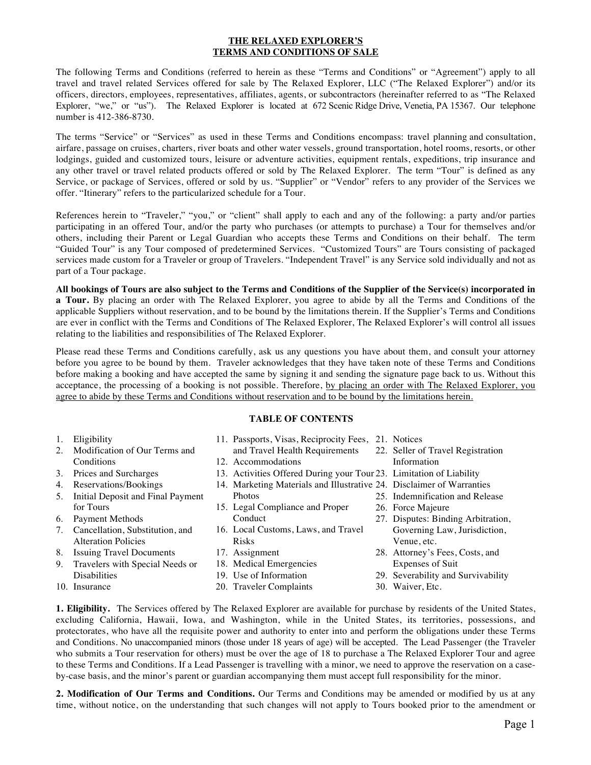# **THE RELAXED EXPLORER'S TERMS AND CONDITIONS OF SALE**

The following Terms and Conditions (referred to herein as these "Terms and Conditions" or "Agreement") apply to all travel and travel related Services offered for sale by The Relaxed Explorer, LLC ("The Relaxed Explorer") and/or its officers, directors, employees, representatives, affiliates, agents, or subcontractors (hereinafter referred to as "The Relaxed Explorer, "we," or "us"). The Relaxed Explorer is located at 672 Scenic Ridge Drive, Venetia, PA 15367. Our telephone number is 412-386-8730.

The terms "Service" or "Services" as used in these Terms and Conditions encompass: travel planning and consultation, airfare, passage on cruises, charters, river boats and other water vessels, ground transportation, hotel rooms, resorts, or other lodgings, guided and customized tours, leisure or adventure activities, equipment rentals, expeditions, trip insurance and any other travel or travel related products offered or sold by The Relaxed Explorer. The term "Tour" is defined as any Service, or package of Services, offered or sold by us. "Supplier" or "Vendor" refers to any provider of the Services we offer. "Itinerary" refers to the particularized schedule for a Tour.

References herein to "Traveler," "you," or "client" shall apply to each and any of the following: a party and/or parties participating in an offered Tour, and/or the party who purchases (or attempts to purchase) a Tour for themselves and/or others, including their Parent or Legal Guardian who accepts these Terms and Conditions on their behalf. The term "Guided Tour" is any Tour composed of predetermined Services. "Customized Tours" are Tours consisting of packaged services made custom for a Traveler or group of Travelers. "Independent Travel" is any Service sold individually and not as part of a Tour package.

All bookings of Tours are also subject to the Terms and Conditions of the Supplier of the Service(s) incorporated in **a Tour.** By placing an order with The Relaxed Explorer, you agree to abide by all the Terms and Conditions of the applicable Suppliers without reservation, and to be bound by the limitations therein. If the Supplier's Terms and Conditions are ever in conflict with the Terms and Conditions of The Relaxed Explorer, The Relaxed Explorer's will control all issues relating to the liabilities and responsibilities of The Relaxed Explorer.

Please read these Terms and Conditions carefully, ask us any questions you have about them, and consult your attorney before you agree to be bound by them. Traveler acknowledges that they have taken note of these Terms and Conditions before making a booking and have accepted the same by signing it and sending the signature page back to us. Without this acceptance, the processing of a booking is not possible. Therefore, by placing an order with The Relaxed Explorer, you agree to abide by these Terms and Conditions without reservation and to be bound by the limitations herein.

# **TABLE OF CONTENTS**

| 1. | Eligibility                       | 11. Passports, Visas, Reciprocity Fees, 21. Notices                   |                                    |
|----|-----------------------------------|-----------------------------------------------------------------------|------------------------------------|
| 2. | Modification of Our Terms and     | and Travel Health Requirements 22. Seller of Travel Registration      |                                    |
|    | Conditions                        | 12. Accommodations                                                    | Information                        |
|    | 3. Prices and Surcharges          | 13. Activities Offered During your Tour 23. Limitation of Liability   |                                    |
|    | 4. Reservations/Bookings          | 14. Marketing Materials and Illustrative 24. Disclaimer of Warranties |                                    |
| 5. | Initial Deposit and Final Payment | <b>Photos</b>                                                         | 25. Indemnification and Release    |
|    | for Tours                         | 15. Legal Compliance and Proper                                       | 26. Force Majeure                  |
| 6. | Payment Methods                   | Conduct                                                               | 27. Disputes: Binding Arbitration, |
| 7. | Cancellation, Substitution, and   | 16. Local Customs, Laws, and Travel                                   | Governing Law, Jurisdiction,       |
|    | <b>Alteration Policies</b>        | <b>Risks</b>                                                          | Venue, etc.                        |
| 8. | <b>Issuing Travel Documents</b>   | 17. Assignment                                                        | 28. Attorney's Fees, Costs, and    |
| 9. | Travelers with Special Needs or   | 18. Medical Emergencies                                               | <b>Expenses of Suit</b>            |
|    | <b>Disabilities</b>               | 19. Use of Information                                                | 29. Severability and Survivability |
|    | 10. Insurance                     | 20. Traveler Complaints                                               | 30. Waiver, Etc.                   |

**1. Eligibility.** The Services offered by The Relaxed Explorer are available for purchase by residents of the United States, excluding California, Hawaii, Iowa, and Washington, while in the United States, its territories, possessions, and protectorates, who have all the requisite power and authority to enter into and perform the obligations under these Terms and Conditions. No unaccompanied minors (those under 18 years of age) will be accepted. The Lead Passenger (the Traveler who submits a Tour reservation for others) must be over the age of 18 to purchase a The Relaxed Explorer Tour and agree to these Terms and Conditions. If a Lead Passenger is travelling with a minor, we need to approve the reservation on a caseby-case basis, and the minor's parent or guardian accompanying them must accept full responsibility for the minor.

**2. Modification of Our Terms and Conditions.** Our Terms and Conditions may be amended or modified by us at any time, without notice, on the understanding that such changes will not apply to Tours booked prior to the amendment or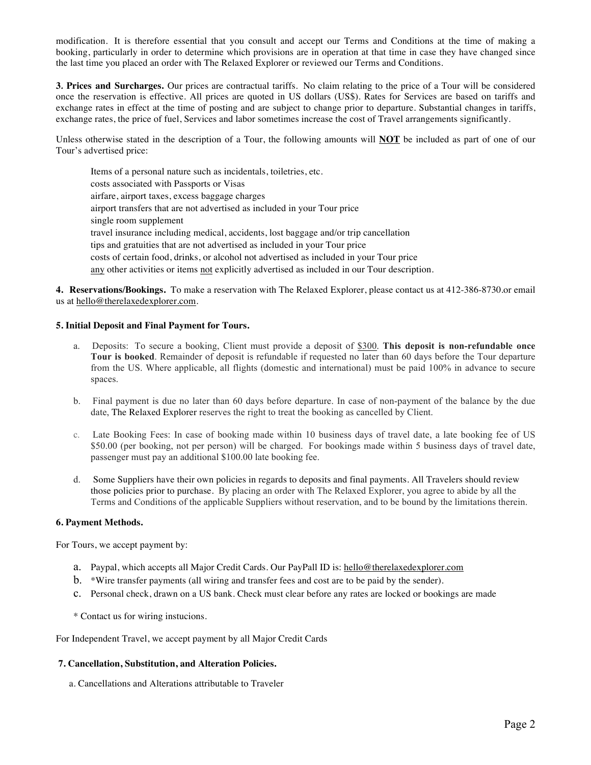modification. It is therefore essential that you consult and accept our Terms and Conditions at the time of making a booking, particularly in order to determine which provisions are in operation at that time in case they have changed since the last time you placed an order with The Relaxed Explorer or reviewed our Terms and Conditions.

**3***.* **Prices and Surcharges.** Our prices are contractual tariffs. No claim relating to the price of a Tour will be considered once the reservation is effective. All prices are quoted in US dollars (US\$). Rates for Services are based on tariffs and exchange rates in effect at the time of posting and are subject to change prior to departure. Substantial changes in tariffs, exchange rates, the price of fuel, Services and labor sometimes increase the cost of Travel arrangements significantly.

Unless otherwise stated in the description of a Tour, the following amounts will **NOT** be included as part of one of our Tour's advertised price:

 Items of a personal nature such as incidentals, toiletries, etc. costs associated with Passports or Visas airfare, airport taxes, excess baggage charges airport transfers that are not advertised as included in your Tour price single room supplement travel insurance including medical, accidents, lost baggage and/or trip cancellation tips and gratuities that are not advertised as included in your Tour price costs of certain food, drinks, or alcohol not advertised as included in your Tour price any other activities or items not explicitly advertised as included in our Tour description.

**4. Reservations/Bookings.** To make a reservation with The Relaxed Explorer, please contact us at 412-386-8730.or email us at hello@therelaxedexplorer.com.

### **5. Initial Deposit and Final Payment for Tours.**

- a. Deposits: To secure a booking, Client must provide a deposit of \$300. **This deposit is non-refundable once Tour is booked**. Remainder of deposit is refundable if requested no later than 60 days before the Tour departure from the US. Where applicable, all flights (domestic and international) must be paid 100% in advance to secure spaces.
- b. Final payment is due no later than 60 days before departure. In case of non-payment of the balance by the due date, The Relaxed Explorer reserves the right to treat the booking as cancelled by Client.
- c. Late Booking Fees: In case of booking made within 10 business days of travel date, a late booking fee of US \$50.00 (per booking, not per person) will be charged. For bookings made within 5 business days of travel date, passenger must pay an additional \$100.00 late booking fee.
- d. Some Suppliers have their own policies in regards to deposits and final payments. All Travelers should review those policies prior to purchase. By placing an order with The Relaxed Explorer, you agree to abide by all the Terms and Conditions of the applicable Suppliers without reservation, and to be bound by the limitations therein.

#### **6. Payment Methods.**

For Tours, we accept payment by:

- a. Paypal, which accepts all Major Credit Cards. Our PayPall ID is: hello@therelaxedexplorer.com
- b. \*Wire transfer payments (all wiring and transfer fees and cost are to be paid by the sender).
- c. Personal check, drawn on a US bank. Check must clear before any rates are locked or bookings are made
- \* Contact us for wiring instucions.

For Independent Travel, we accept payment by all Major Credit Cards

### **7. Cancellation, Substitution, and Alteration Policies.**

a. Cancellations and Alterations attributable to Traveler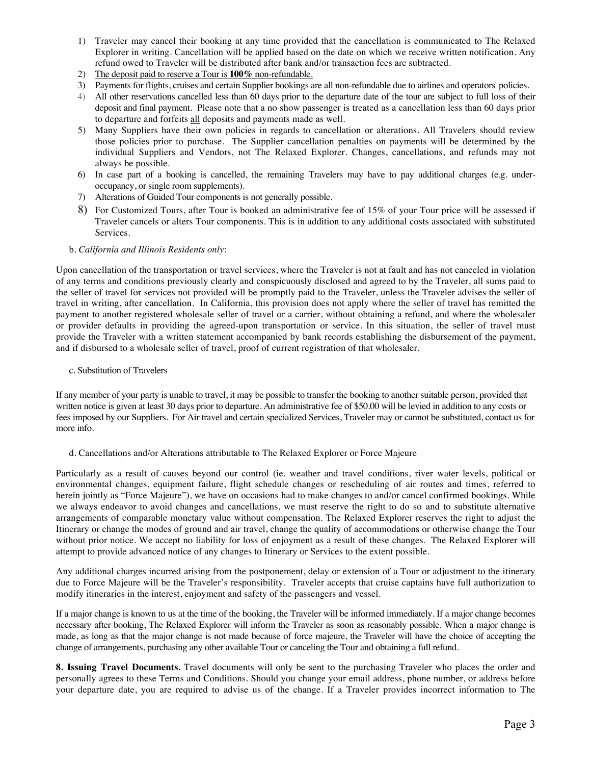- 1) Traveler may cancel their booking at any time provided that the cancellation is communicated to The Relaxed Explorer in writing. Cancellation will be applied based on the date on which we receive written notification. Any refund owed to Traveler will be distributed after bank and/or transaction fees are subtracted.
- 2) The deposit paid to reserve a Tour is **100%** non-refundable.
- 3) Payments for flights, cruises and certain Supplier bookings are all non-refundable due to airlines and operators' policies.
- 4) All other reservations cancelled less than 60 days prior to the departure date of the tour are subject to full loss of their deposit and final payment. Please note that a no show passenger is treated as a cancellation less than 60 days prior to departure and forfeits all deposits and payments made as well.
- 5) Many Suppliers have their own policies in regards to cancellation or alterations. All Travelers should review those policies prior to purchase. The Supplier cancellation penalties on payments will be determined by the individual Suppliers and Vendors, not The Relaxed Explorer. Changes, cancellations, and refunds may not always be possible.
- 6) In case part of a booking is cancelled, the remaining Travelers may have to pay additional charges (e.g. underoccupancy, or single room supplements).
- 7) Alterations of Guided Tour components is not generally possible.
- 8) For Customized Tours, after Tour is booked an administrative fee of 15% of your Tour price will be assessed if Traveler cancels or alters Tour components. This is in addition to any additional costs associated with substituted Services.

### b. *California and Illinois Residents only*:

Upon cancellation of the transportation or travel services, where the Traveler is not at fault and has not canceled in violation of any terms and conditions previously clearly and conspicuously disclosed and agreed to by the Traveler, all sums paid to the seller of travel for services not provided will be promptly paid to the Traveler, unless the Traveler advises the seller of travel in writing, after cancellation. In California, this provision does not apply where the seller of travel has remitted the payment to another registered wholesale seller of travel or a carrier, without obtaining a refund, and where the wholesaler or provider defaults in providing the agreed-upon transportation or service. In this situation, the seller of travel must provide the Traveler with a written statement accompanied by bank records establishing the disbursement of the payment, and if disbursed to a wholesale seller of travel, proof of current registration of that wholesaler.

#### c. Substitution of Travelers

If any member of your party is unable to travel, it may be possible to transfer the booking to another suitable person, provided that written notice is given at least 30 days prior to departure. An administrative fee of \$50.00 will be levied in addition to any costs or fees imposed by our Suppliers. For Air travel and certain specialized Services, Traveler may or cannot be substituted, contact us for more info.

#### d. Cancellations and/or Alterations attributable to The Relaxed Explorer or Force Majeure

Particularly as a result of causes beyond our control (ie. weather and travel conditions, river water levels, political or environmental changes, equipment failure, flight schedule changes or rescheduling of air routes and times, referred to herein jointly as "Force Majeure"), we have on occasions had to make changes to and/or cancel confirmed bookings. While we always endeavor to avoid changes and cancellations, we must reserve the right to do so and to substitute alternative arrangements of comparable monetary value without compensation. The Relaxed Explorer reserves the right to adjust the Itinerary or change the modes of ground and air travel, change the quality of accommodations or otherwise change the Tour without prior notice. We accept no liability for loss of enjoyment as a result of these changes. The Relaxed Explorer will attempt to provide advanced notice of any changes to Itinerary or Services to the extent possible.

Any additional charges incurred arising from the postponement, delay or extension of a Tour or adjustment to the itinerary due to Force Majeure will be the Traveler's responsibility. Traveler accepts that cruise captains have full authorization to modify itineraries in the interest, enjoyment and safety of the passengers and vessel.

If a major change is known to us at the time of the booking, the Traveler will be informed immediately. If a major change becomes necessary after booking, The Relaxed Explorer will inform the Traveler as soon as reasonably possible. When a major change is made, as long as that the major change is not made because of force majeure, the Traveler will have the choice of accepting the change of arrangements, purchasing any other available Tour or canceling the Tour and obtaining a full refund.

**8. Issuing Travel Documents.** Travel documents will only be sent to the purchasing Traveler who places the order and personally agrees to these Terms and Conditions. Should you change your email address, phone number, or address before your departure date, you are required to advise us of the change. If a Traveler provides incorrect information to The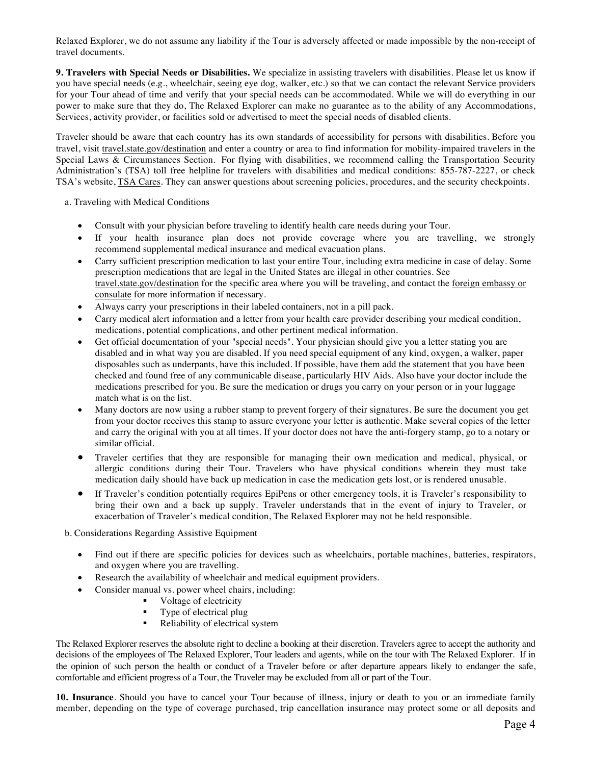Relaxed Explorer, we do not assume any liability if the Tour is adversely affected or made impossible by the non-receipt of travel documents.

**9. Travelers with Special Needs or Disabilities.** We specialize in assisting travelers with disabilities. Please let us know if you have special needs (e.g., wheelchair, seeing eye dog, walker, etc.) so that we can contact the relevant Service providers for your Tour ahead of time and verify that your special needs can be accommodated. While we will do everything in our power to make sure that they do, The Relaxed Explorer can make no guarantee as to the ability of any Accommodations, Services, activity provider, or facilities sold or advertised to meet the special needs of disabled clients.

Traveler should be aware that each country has its own standards of accessibility for persons with disabilities. Before you travel, visit travel.state.gov/destination and enter a country or area to find information for mobility-impaired travelers in the Special Laws & Circumstances Section. For flying with disabilities, we recommend calling the Transportation Security Administration's (TSA) toll free helpline for travelers with disabilities and medical conditions: 855-787-2227, or check TSA's website, TSA Cares. They can answer questions about screening policies, procedures, and the security checkpoints.

a. Traveling with Medical Conditions

- Consult with your physician before traveling to identify health care needs during your Tour.
- If your health insurance plan does not provide coverage where you are travelling, we strongly recommend supplemental medical insurance and medical evacuation plans.
- Carry sufficient prescription medication to last your entire Tour, including extra medicine in case of delay. Some prescription medications that are legal in the United States are illegal in other countries. See travel.state.gov/destination for the specific area where you will be traveling, and contact the foreign embassy or consulate for more information if necessary.
- Always carry your prescriptions in their labeled containers, not in a pill pack.
- Carry medical alert information and a letter from your health care provider describing your medical condition, medications, potential complications, and other pertinent medical information.
- Get official documentation of your "special needs". Your physician should give you a letter stating you are disabled and in what way you are disabled. If you need special equipment of any kind, oxygen, a walker, paper disposables such as underpants, have this included. If possible, have them add the statement that you have been checked and found free of any communicable disease, particularly HIV Aids. Also have your doctor include the medications prescribed for you. Be sure the medication or drugs you carry on your person or in your luggage match what is on the list.
- Many doctors are now using a rubber stamp to prevent forgery of their signatures. Be sure the document you get from your doctor receives this stamp to assure everyone your letter is authentic. Make several copies of the letter and carry the original with you at all times. If your doctor does not have the anti-forgery stamp, go to a notary or similar official.
- Traveler certifies that they are responsible for managing their own medication and medical, physical, or allergic conditions during their Tour. Travelers who have physical conditions wherein they must take medication daily should have back up medication in case the medication gets lost, or is rendered unusable.
- If Traveler's condition potentially requires EpiPens or other emergency tools, it is Traveler's responsibility to bring their own and a back up supply. Traveler understands that in the event of injury to Traveler, or exacerbation of Traveler's medical condition, The Relaxed Explorer may not be held responsible.

b. Considerations Regarding Assistive Equipment

- Find out if there are specific policies for devices such as wheelchairs, portable machines, batteries, respirators, and oxygen where you are travelling.
- Research the availability of wheelchair and medical equipment providers.
	- Consider manual vs. power wheel chairs, including:
		- § Voltage of electricity
			- § Type of electrical plug
			- Reliability of electrical system

The Relaxed Explorer reserves the absolute right to decline a booking at their discretion. Travelers agree to accept the authority and decisions of the employees of The Relaxed Explorer, Tour leaders and agents, while on the tour with The Relaxed Explorer. If in the opinion of such person the health or conduct of a Traveler before or after departure appears likely to endanger the safe, comfortable and efficient progress of a Tour, the Traveler may be excluded from all or part of the Tour.

**10. Insurance**. Should you have to cancel your Tour because of illness, injury or death to you or an immediate family member, depending on the type of coverage purchased, trip cancellation insurance may protect some or all deposits and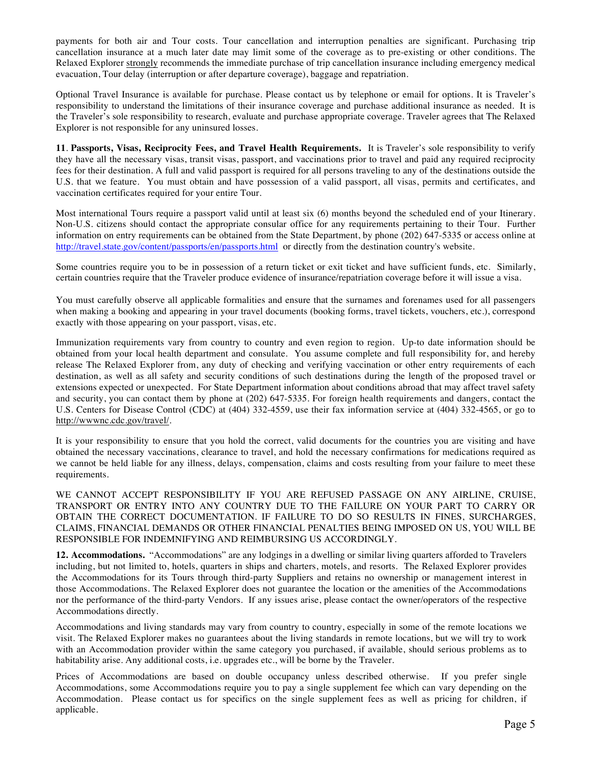payments for both air and Tour costs. Tour cancellation and interruption penalties are significant. Purchasing trip cancellation insurance at a much later date may limit some of the coverage as to pre-existing or other conditions. The Relaxed Explorer strongly recommends the immediate purchase of trip cancellation insurance including emergency medical evacuation, Tour delay (interruption or after departure coverage), baggage and repatriation.

Optional Travel Insurance is available for purchase. Please contact us by telephone or email for options. It is Traveler's responsibility to understand the limitations of their insurance coverage and purchase additional insurance as needed. It is the Traveler's sole responsibility to research, evaluate and purchase appropriate coverage. Traveler agrees that The Relaxed Explorer is not responsible for any uninsured losses.

**11**. **Passports, Visas, Reciprocity Fees, and Travel Health Requirements.** It is Traveler's sole responsibility to verify they have all the necessary visas, transit visas, passport, and vaccinations prior to travel and paid any required reciprocity fees for their destination. A full and valid passport is required for all persons traveling to any of the destinations outside the U.S. that we feature. You must obtain and have possession of a valid passport, all visas, permits and certificates, and vaccination certificates required for your entire Tour.

Most international Tours require a passport valid until at least six (6) months beyond the scheduled end of your Itinerary. Non-U.S. citizens should contact the appropriate consular office for any requirements pertaining to their Tour. Further information on entry requirements can be obtained from the State Department, by phone (202) 647-5335 or access online at http://travel.state.gov/content/passports/en/passports.html or directly from the destination country's website.

Some countries require you to be in possession of a return ticket or exit ticket and have sufficient funds, etc. Similarly, certain countries require that the Traveler produce evidence of insurance/repatriation coverage before it will issue a visa.

You must carefully observe all applicable formalities and ensure that the surnames and forenames used for all passengers when making a booking and appearing in your travel documents (booking forms, travel tickets, vouchers, etc.), correspond exactly with those appearing on your passport, visas, etc.

Immunization requirements vary from country to country and even region to region. Up-to date information should be obtained from your local health department and consulate. You assume complete and full responsibility for, and hereby release The Relaxed Explorer from, any duty of checking and verifying vaccination or other entry requirements of each destination, as well as all safety and security conditions of such destinations during the length of the proposed travel or extensions expected or unexpected. For State Department information about conditions abroad that may affect travel safety and security, you can contact them by phone at (202) 647-5335. For foreign health requirements and dangers, contact the U.S. Centers for Disease Control (CDC) at (404) 332-4559, use their fax information service at (404) 332-4565, or go to http://wwwnc.cdc.gov/travel/.

It is your responsibility to ensure that you hold the correct, valid documents for the countries you are visiting and have obtained the necessary vaccinations, clearance to travel, and hold the necessary confirmations for medications required as we cannot be held liable for any illness, delays, compensation, claims and costs resulting from your failure to meet these requirements.

WE CANNOT ACCEPT RESPONSIBILITY IF YOU ARE REFUSED PASSAGE ON ANY AIRLINE, CRUISE, TRANSPORT OR ENTRY INTO ANY COUNTRY DUE TO THE FAILURE ON YOUR PART TO CARRY OR OBTAIN THE CORRECT DOCUMENTATION. IF FAILURE TO DO SO RESULTS IN FINES, SURCHARGES, CLAIMS, FINANCIAL DEMANDS OR OTHER FINANCIAL PENALTIES BEING IMPOSED ON US, YOU WILL BE RESPONSIBLE FOR INDEMNIFYING AND REIMBURSING US ACCORDINGLY.

**12. Accommodations.** "Accommodations" are any lodgings in a dwelling or similar living quarters afforded to Travelers including, but not limited to, hotels, quarters in ships and charters, motels, and resorts. The Relaxed Explorer provides the Accommodations for its Tours through third-party Suppliers and retains no ownership or management interest in those Accommodations. The Relaxed Explorer does not guarantee the location or the amenities of the Accommodations nor the performance of the third-party Vendors. If any issues arise, please contact the owner/operators of the respective Accommodations directly.

Accommodations and living standards may vary from country to country, especially in some of the remote locations we visit. The Relaxed Explorer makes no guarantees about the living standards in remote locations, but we will try to work with an Accommodation provider within the same category you purchased, if available, should serious problems as to habitability arise. Any additional costs, i.e. upgrades etc., will be borne by the Traveler.

Prices of Accommodations are based on double occupancy unless described otherwise. If you prefer single Accommodations, some Accommodations require you to pay a single supplement fee which can vary depending on the Accommodation. Please contact us for specifics on the single supplement fees as well as pricing for children, if applicable.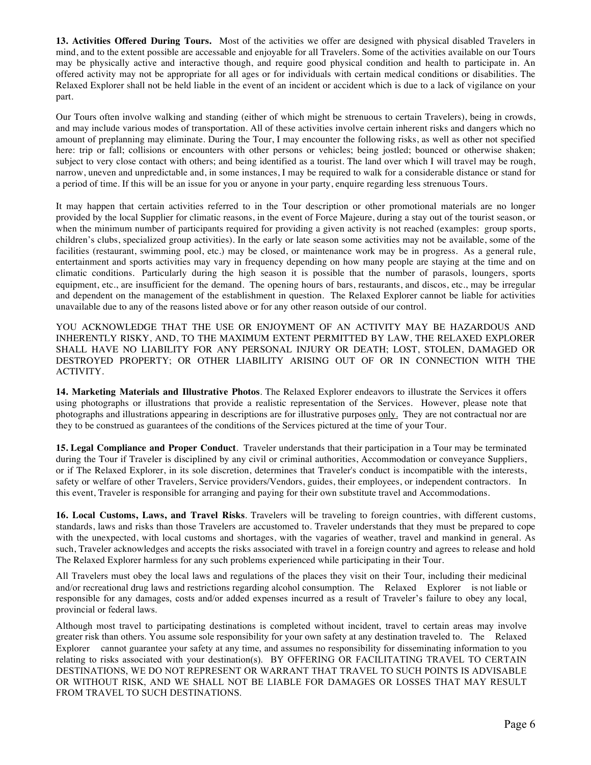**13. Activities Offered During Tours.** Most of the activities we offer are designed with physical disabled Travelers in mind, and to the extent possible are accessable and enjoyable for all Travelers. Some of the activities available on our Tours may be physically active and interactive though, and require good physical condition and health to participate in. An offered activity may not be appropriate for all ages or for individuals with certain medical conditions or disabilities. The Relaxed Explorer shall not be held liable in the event of an incident or accident which is due to a lack of vigilance on your part.

Our Tours often involve walking and standing (either of which might be strenuous to certain Travelers), being in crowds, and may include various modes of transportation. All of these activities involve certain inherent risks and dangers which no amount of preplanning may eliminate. During the Tour, I may encounter the following risks, as well as other not specified here: trip or fall; collisions or encounters with other persons or vehicles; being jostled; bounced or otherwise shaken; subject to very close contact with others; and being identified as a tourist. The land over which I will travel may be rough, narrow, uneven and unpredictable and, in some instances, I may be required to walk for a considerable distance or stand for a period of time. If this will be an issue for you or anyone in your party, enquire regarding less strenuous Tours.

It may happen that certain activities referred to in the Tour description or other promotional materials are no longer provided by the local Supplier for climatic reasons, in the event of Force Majeure, during a stay out of the tourist season, or when the minimum number of participants required for providing a given activity is not reached (examples: group sports, children's clubs, specialized group activities). In the early or late season some activities may not be available, some of the facilities (restaurant, swimming pool, etc.) may be closed, or maintenance work may be in progress. As a general rule, entertainment and sports activities may vary in frequency depending on how many people are staying at the time and on climatic conditions. Particularly during the high season it is possible that the number of parasols, loungers, sports equipment, etc., are insufficient for the demand. The opening hours of bars, restaurants, and discos, etc., may be irregular and dependent on the management of the establishment in question. The Relaxed Explorer cannot be liable for activities unavailable due to any of the reasons listed above or for any other reason outside of our control.

YOU ACKNOWLEDGE THAT THE USE OR ENJOYMENT OF AN ACTIVITY MAY BE HAZARDOUS AND INHERENTLY RISKY, AND, TO THE MAXIMUM EXTENT PERMITTED BY LAW, THE RELAXED EXPLORER SHALL HAVE NO LIABILITY FOR ANY PERSONAL INJURY OR DEATH; LOST, STOLEN, DAMAGED OR DESTROYED PROPERTY; OR OTHER LIABILITY ARISING OUT OF OR IN CONNECTION WITH THE ACTIVITY.

**14. Marketing Materials and Illustrative Photos**. The Relaxed Explorer endeavors to illustrate the Services it offers using photographs or illustrations that provide a realistic representation of the Services. However, please note that photographs and illustrations appearing in descriptions are for illustrative purposes only. They are not contractual nor are they to be construed as guarantees of the conditions of the Services pictured at the time of your Tour.

**15. Legal Compliance and Proper Conduct**. Traveler understands that their participation in a Tour may be terminated during the Tour if Traveler is disciplined by any civil or criminal authorities, Accommodation or conveyance Suppliers, or if The Relaxed Explorer, in its sole discretion, determines that Traveler's conduct is incompatible with the interests, safety or welfare of other Travelers, Service providers/Vendors, guides, their employees, or independent contractors. In this event, Traveler is responsible for arranging and paying for their own substitute travel and Accommodations.

**16. Local Customs, Laws, and Travel Risks**. Travelers will be traveling to foreign countries, with different customs, standards, laws and risks than those Travelers are accustomed to. Traveler understands that they must be prepared to cope with the unexpected, with local customs and shortages, with the vagaries of weather, travel and mankind in general. As such, Traveler acknowledges and accepts the risks associated with travel in a foreign country and agrees to release and hold The Relaxed Explorer harmless for any such problems experienced while participating in their Tour.

All Travelers must obey the local laws and regulations of the places they visit on their Tour, including their medicinal and/or recreational drug laws and restrictions regarding alcohol consumption. The Relaxed Explorer is not liable or responsible for any damages, costs and/or added expenses incurred as a result of Traveler's failure to obey any local, provincial or federal laws.

Although most travel to participating destinations is completed without incident, travel to certain areas may involve greater risk than others. You assume sole responsibility for your own safety at any destination traveled to. The Relaxed Explorer cannot guarantee your safety at any time, and assumes no responsibility for disseminating information to you relating to risks associated with your destination(s). BY OFFERING OR FACILITATING TRAVEL TO CERTAIN DESTINATIONS, WE DO NOT REPRESENT OR WARRANT THAT TRAVEL TO SUCH POINTS IS ADVISABLE OR WITHOUT RISK, AND WE SHALL NOT BE LIABLE FOR DAMAGES OR LOSSES THAT MAY RESULT FROM TRAVEL TO SUCH DESTINATIONS.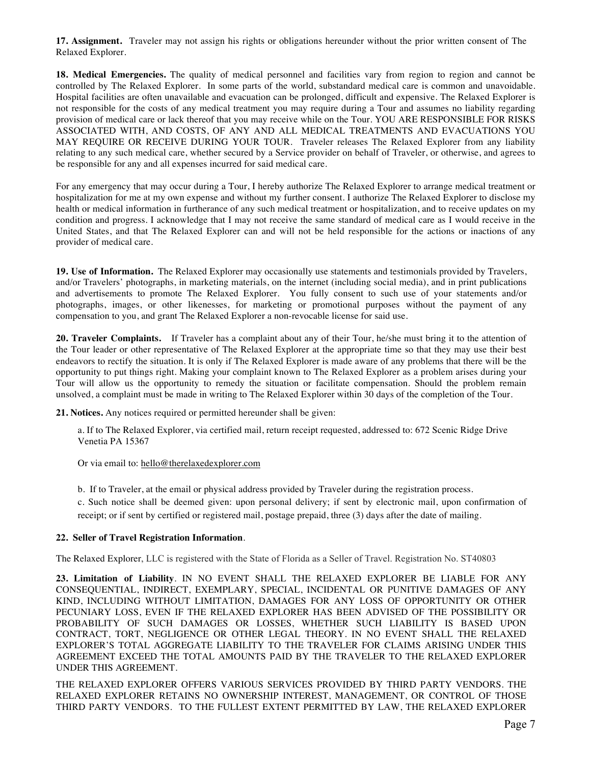**17. Assignment.**Traveler may not assign his rights or obligations hereunder without the prior written consent of The Relaxed Explorer.

**18. Medical Emergencies.** The quality of medical personnel and facilities vary from region to region and cannot be controlled by The Relaxed Explorer. In some parts of the world, substandard medical care is common and unavoidable. Hospital facilities are often unavailable and evacuation can be prolonged, difficult and expensive. The Relaxed Explorer is not responsible for the costs of any medical treatment you may require during a Tour and assumes no liability regarding provision of medical care or lack thereof that you may receive while on the Tour. YOU ARE RESPONSIBLE FOR RISKS ASSOCIATED WITH, AND COSTS, OF ANY AND ALL MEDICAL TREATMENTS AND EVACUATIONS YOU MAY REQUIRE OR RECEIVE DURING YOUR TOUR. Traveler releases The Relaxed Explorer from any liability relating to any such medical care, whether secured by a Service provider on behalf of Traveler, or otherwise, and agrees to be responsible for any and all expenses incurred for said medical care.

For any emergency that may occur during a Tour, I hereby authorize The Relaxed Explorer to arrange medical treatment or hospitalization for me at my own expense and without my further consent. I authorize The Relaxed Explorer to disclose my health or medical information in furtherance of any such medical treatment or hospitalization, and to receive updates on my condition and progress. I acknowledge that I may not receive the same standard of medical care as I would receive in the United States, and that The Relaxed Explorer can and will not be held responsible for the actions or inactions of any provider of medical care.

**19. Use of Information.** The Relaxed Explorer may occasionally use statements and testimonials provided by Travelers, and/or Travelers' photographs, in marketing materials, on the internet (including social media), and in print publications and advertisements to promote The Relaxed Explorer. You fully consent to such use of your statements and/or photographs, images, or other likenesses, for marketing or promotional purposes without the payment of any compensation to you, and grant The Relaxed Explorer a non-revocable license for said use.

**20. Traveler Complaints.** If Traveler has a complaint about any of their Tour, he/she must bring it to the attention of the Tour leader or other representative of The Relaxed Explorer at the appropriate time so that they may use their best endeavors to rectify the situation. It is only if The Relaxed Explorer is made aware of any problems that there will be the opportunity to put things right. Making your complaint known to The Relaxed Explorer as a problem arises during your Tour will allow us the opportunity to remedy the situation or facilitate compensation. Should the problem remain unsolved, a complaint must be made in writing to The Relaxed Explorer within 30 days of the completion of the Tour.

**21. Notices.** Any notices required or permitted hereunder shall be given:

a. If to The Relaxed Explorer, via certified mail, return receipt requested, addressed to: 672 Scenic Ridge Drive Venetia PA 15367

Or via email to: hello@therelaxedexplorer.com

b. If to Traveler, at the email or physical address provided by Traveler during the registration process.

c. Such notice shall be deemed given: upon personal delivery; if sent by electronic mail, upon confirmation of receipt; or if sent by certified or registered mail, postage prepaid, three (3) days after the date of mailing.

# **22. Seller of Travel Registration Information**.

The Relaxed Explorer, LLC is registered with the State of Florida as a Seller of Travel. Registration No. ST40803

**23. Limitation of Liability***.* IN NO EVENT SHALL THE RELAXED EXPLORER BE LIABLE FOR ANY CONSEQUENTIAL, INDIRECT, EXEMPLARY, SPECIAL, INCIDENTAL OR PUNITIVE DAMAGES OF ANY KIND, INCLUDING WITHOUT LIMITATION, DAMAGES FOR ANY LOSS OF OPPORTUNITY OR OTHER PECUNIARY LOSS, EVEN IF THE RELAXED EXPLORER HAS BEEN ADVISED OF THE POSSIBILITY OR PROBABILITY OF SUCH DAMAGES OR LOSSES, WHETHER SUCH LIABILITY IS BASED UPON CONTRACT, TORT, NEGLIGENCE OR OTHER LEGAL THEORY. IN NO EVENT SHALL THE RELAXED EXPLORER'S TOTAL AGGREGATE LIABILITY TO THE TRAVELER FOR CLAIMS ARISING UNDER THIS AGREEMENT EXCEED THE TOTAL AMOUNTS PAID BY THE TRAVELER TO THE RELAXED EXPLORER UNDER THIS AGREEMENT.

THE RELAXED EXPLORER OFFERS VARIOUS SERVICES PROVIDED BY THIRD PARTY VENDORS. THE RELAXED EXPLORER RETAINS NO OWNERSHIP INTEREST, MANAGEMENT, OR CONTROL OF THOSE THIRD PARTY VENDORS. TO THE FULLEST EXTENT PERMITTED BY LAW, THE RELAXED EXPLORER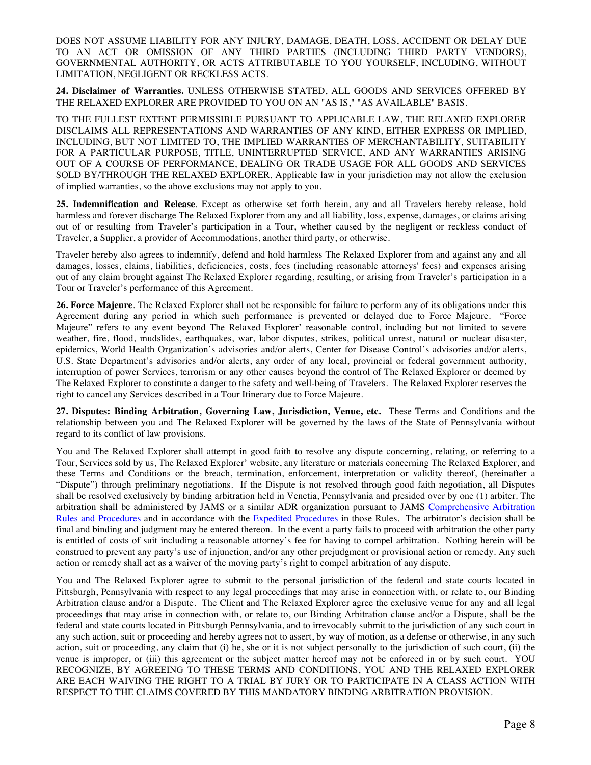DOES NOT ASSUME LIABILITY FOR ANY INJURY, DAMAGE, DEATH, LOSS, ACCIDENT OR DELAY DUE TO AN ACT OR OMISSION OF ANY THIRD PARTIES (INCLUDING THIRD PARTY VENDORS), GOVERNMENTAL AUTHORITY, OR ACTS ATTRIBUTABLE TO YOU YOURSELF, INCLUDING, WITHOUT LIMITATION, NEGLIGENT OR RECKLESS ACTS.

**24. Disclaimer of Warranties.** UNLESS OTHERWISE STATED, ALL GOODS AND SERVICES OFFERED BY THE RELAXED EXPLORER ARE PROVIDED TO YOU ON AN "AS IS," "AS AVAILABLE" BASIS.

TO THE FULLEST EXTENT PERMISSIBLE PURSUANT TO APPLICABLE LAW, THE RELAXED EXPLORER DISCLAIMS ALL REPRESENTATIONS AND WARRANTIES OF ANY KIND, EITHER EXPRESS OR IMPLIED, INCLUDING, BUT NOT LIMITED TO, THE IMPLIED WARRANTIES OF MERCHANTABILITY, SUITABILITY FOR A PARTICULAR PURPOSE, TITLE, UNINTERRUPTED SERVICE, AND ANY WARRANTIES ARISING OUT OF A COURSE OF PERFORMANCE, DEALING OR TRADE USAGE FOR ALL GOODS AND SERVICES SOLD BY/THROUGH THE RELAXED EXPLORER. Applicable law in your jurisdiction may not allow the exclusion of implied warranties, so the above exclusions may not apply to you.

**25. Indemnification and Release***.* Except as otherwise set forth herein, any and all Travelers hereby release, hold harmless and forever discharge The Relaxed Explorer from any and all liability, loss, expense, damages, or claims arising out of or resulting from Traveler's participation in a Tour, whether caused by the negligent or reckless conduct of Traveler, a Supplier, a provider of Accommodations, another third party, or otherwise.

Traveler hereby also agrees to indemnify, defend and hold harmless The Relaxed Explorer from and against any and all damages, losses, claims, liabilities, deficiencies, costs, fees (including reasonable attorneys' fees) and expenses arising out of any claim brought against The Relaxed Explorer regarding, resulting, or arising from Traveler's participation in a Tour or Traveler's performance of this Agreement.

**26. Force Majeure***.* The Relaxed Explorer shall not be responsible for failure to perform any of its obligations under this Agreement during any period in which such performance is prevented or delayed due to Force Majeure. "Force Majeure" refers to any event beyond The Relaxed Explorer' reasonable control, including but not limited to severe weather, fire, flood, mudslides, earthquakes, war, labor disputes, strikes, political unrest, natural or nuclear disaster, epidemics, World Health Organization's advisories and/or alerts, Center for Disease Control's advisories and/or alerts, U.S. State Department's advisories and/or alerts, any order of any local, provincial or federal government authority, interruption of power Services, terrorism or any other causes beyond the control of The Relaxed Explorer or deemed by The Relaxed Explorer to constitute a danger to the safety and well-being of Travelers. The Relaxed Explorer reserves the right to cancel any Services described in a Tour Itinerary due to Force Majeure.

**27. Disputes: Binding Arbitration, Governing Law, Jurisdiction, Venue, etc.** These Terms and Conditions and the relationship between you and The Relaxed Explorer will be governed by the laws of the State of Pennsylvania without regard to its conflict of law provisions.

You and The Relaxed Explorer shall attempt in good faith to resolve any dispute concerning, relating, or referring to a Tour, Services sold by us, The Relaxed Explorer' website, any literature or materials concerning The Relaxed Explorer, and these Terms and Conditions or the breach, termination, enforcement, interpretation or validity thereof, (hereinafter a "Dispute") through preliminary negotiations. If the Dispute is not resolved through good faith negotiation, all Disputes shall be resolved exclusively by binding arbitration held in Venetia, Pennsylvania and presided over by one (1) arbiter. The arbitration shall be administered by JAMS or a similar ADR organization pursuant to JAMS Comprehensive Arbitration Rules and Procedures and in accordance with the Expedited Procedures in those Rules. The arbitrator's decision shall be final and binding and judgment may be entered thereon. In the event a party fails to proceed with arbitration the other party is entitled of costs of suit including a reasonable attorney's fee for having to compel arbitration. Nothing herein will be construed to prevent any party's use of injunction, and/or any other prejudgment or provisional action or remedy. Any such action or remedy shall act as a waiver of the moving party's right to compel arbitration of any dispute.

You and The Relaxed Explorer agree to submit to the personal jurisdiction of the federal and state courts located in Pittsburgh, Pennsylvania with respect to any legal proceedings that may arise in connection with, or relate to, our Binding Arbitration clause and/or a Dispute. The Client and The Relaxed Explorer agree the exclusive venue for any and all legal proceedings that may arise in connection with, or relate to, our Binding Arbitration clause and/or a Dispute, shall be the federal and state courts located in Pittsburgh Pennsylvania, and to irrevocably submit to the jurisdiction of any such court in any such action, suit or proceeding and hereby agrees not to assert, by way of motion, as a defense or otherwise, in any such action, suit or proceeding, any claim that (i) he, she or it is not subject personally to the jurisdiction of such court, (ii) the venue is improper, or (iii) this agreement or the subject matter hereof may not be enforced in or by such court. YOU RECOGNIZE, BY AGREEING TO THESE TERMS AND CONDITIONS, YOU AND THE RELAXED EXPLORER ARE EACH WAIVING THE RIGHT TO A TRIAL BY JURY OR TO PARTICIPATE IN A CLASS ACTION WITH RESPECT TO THE CLAIMS COVERED BY THIS MANDATORY BINDING ARBITRATION PROVISION.